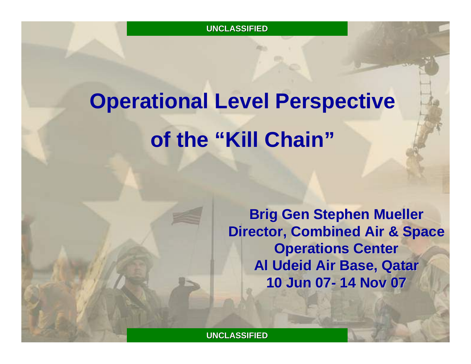# **Operational Level Perspective of the "Kill Chain"**

**Brig Gen Stephen Mueller Director, Combined Air & Space Director, Combined Air & Space Operations Center Al Udeid Air Base, Qatar Al Udeid Air Base, Qatar 10 Jun 07 10 Jun 07- 14 Nov 07 14 Nov 07**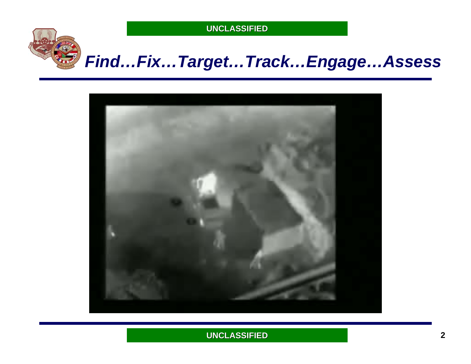

# *Find…Fix…Target…Track…Engage…Assess*

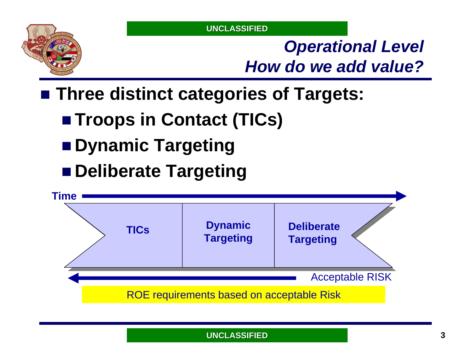

# *Operational Level How do we add value?*

**Three distinct categories of Targets:**

- Troops in Contact (TICs)
- Dynamic Targeting
- **Deliberate Targeting**

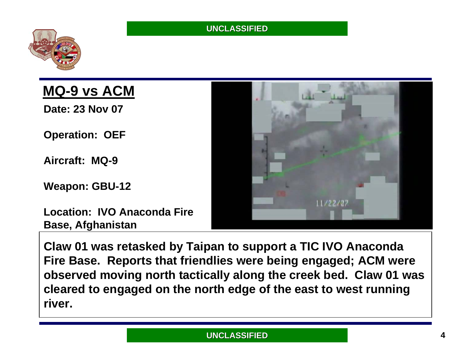



### **MQ-9 vs ACM**

**Date: 23 Nov 07**

**Operation: OEF**

**Aircraft: MQ-9**

**Weapon: GBU-12**

**Location: IVO Anaconda Fire Base, Afghanistan**



**Claw 01 was retasked by Taipan to support a TIC IVO Anaconda Fire Base. Reports that friendlies were being engaged; ACM were observed moving north tactically along the creek bed. Claw 01 was cleared to engaged on the north edge of the east to west running river.**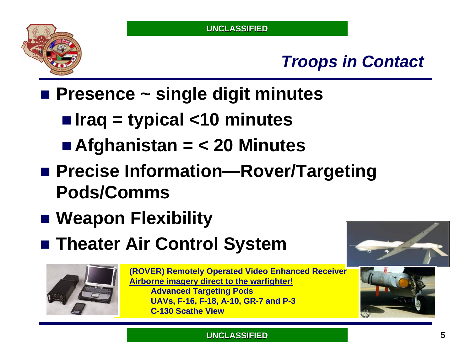

# *Troops in Contact*

**Presence ~ single digit minutes**

- **Iraq = typical <10 minutes**
- **Afghanistan = < 20 Minutes**
- Precise Information—Rover/Targeting **Pods/Comms**
- **Weapon Flexibility**
- **Theater Air Control System**



**(ROVER) Remotely Operated Video Enhanced Receiver Airborne imagery direct to the warfighter! Advanced Targeting Pods UAVs, F-16, F-18, A-10, GR-7 and P-3 C-130 Scathe View**



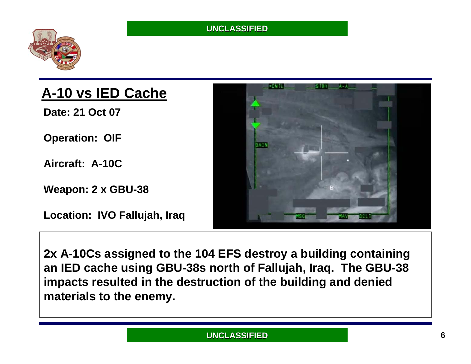

### **A-10 vs IED Cache**

**Date: 21 Oct 07**

**Operation: OIF**

**Aircraft: A-10C**

**Weapon: 2 x GBU-38**

**Location: IVO Fallujah, Iraq**



**2x A-10Cs assigned to the 104 EFS destroy a building containing an IED cache using GBU-38s north of Fallujah, Iraq. The GBU-38 impacts resulted in the destruction of the building and denied materials to the enemy.**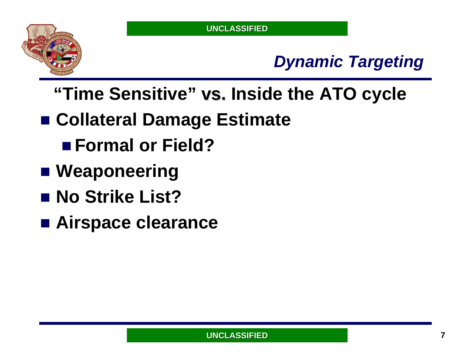

# *Dynamic Targeting*

- "Time Sensitive" vs. Inside the ATO cycle
- **Collateral Damage Estimate**
	- **Formal or Field?**
- Weaponeering
- **No Strike List?**
- **Airspace clearance**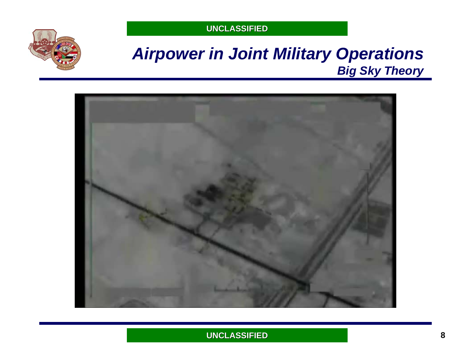

### *Airpower in Joint Military Operations Big Sky Theory*

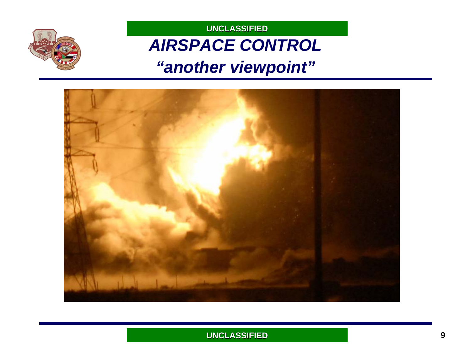# *AIRSPACE CONTROL ["another viewpoint"](#page-11-0)*

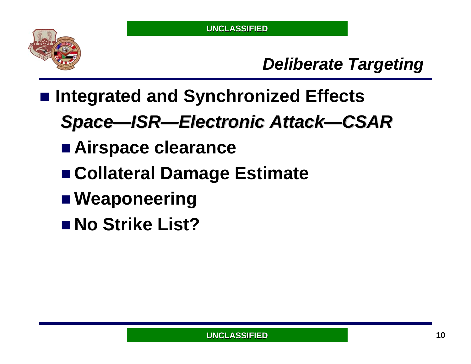

# *Deliberate Targeting*

- **Integrated and Synchronized Effects**
	- *Space—ISR—Electronic Attack Electronic Attack—CSAR*
	- **Airspace clearance**
	- **Collateral Damage Estimate**
	- Weaponeering
	- **No Strike List?**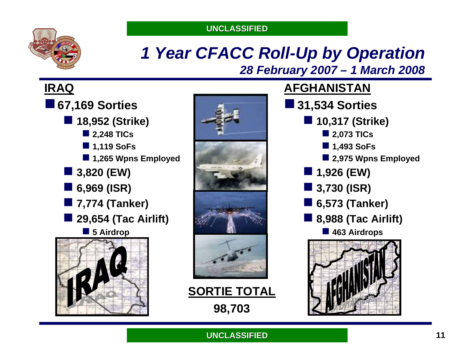

### *1 Year CFACC Roll-Up by Operation 28 February 2007 – 1 March 2008*

### **IRAQ**

- **67,169 Sorties 18,952 (Strike) 2,248 TICs**
	- **1,119 SoFs**
	- **1,265 Wpns Employed**
	- **3,820 (EW)**
	- **6,969 (ISR)**
	- 7,774 (Tanker)
	- i<br>List **29,654 (Tac Airlift)**
		- **5 Airdrop**





**SORTIE TOTAL 98,703**

### **AFGHANISTAN**

**31,534 Sorties 10,317 (Strike) 2,073 TICs 1,493 SoFs 2,975 Wpns Employed 1,926 (EW) 3,730 (ISR) 6,573 (Tanker)**  $\mathcal{L}^{\text{max}}_{\text{max}}$  **8,988 (Tac Airlift) 463 Airdrops**